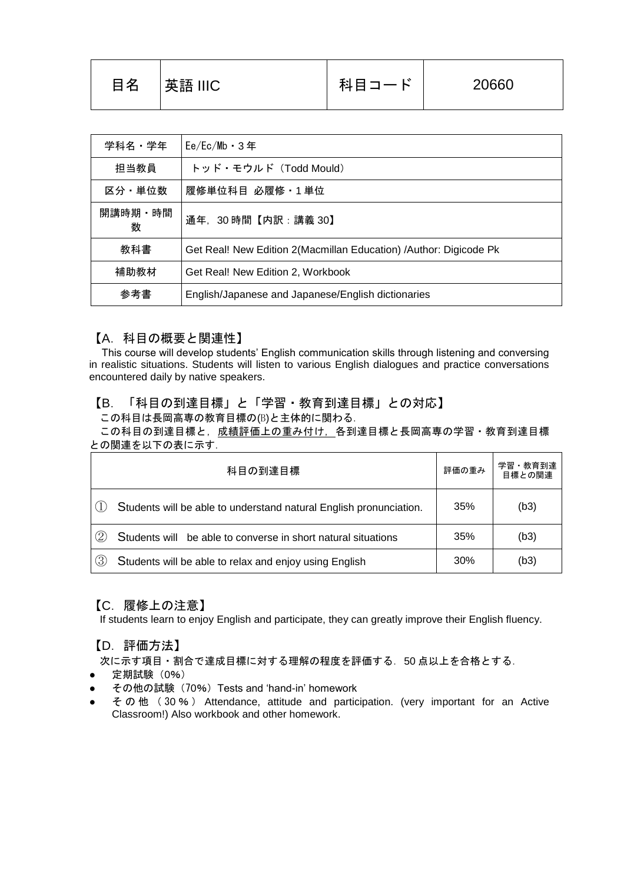| 目名   英語 IIIC | │ 科目コード | 20660 |
|--------------|---------|-------|
|              |         |       |

| 学科名・学年       | $Ee/Ec/Mb$ · 3年                                                     |  |
|--------------|---------------------------------------------------------------------|--|
| 担当教員         | トッド・モウルド(Todd Mould)                                                |  |
| 区分・単位数       | 履修単位科目 必履修・1 単位                                                     |  |
| 開講時期・時間<br>数 | 通年, 30時間【内訳:講義 30】                                                  |  |
| 教科書          | Get Real! New Edition 2 (Macmillan Education) / Author: Digicode Pk |  |
| 補助教材         | Get Real! New Edition 2, Workbook                                   |  |
| 参考書          | English/Japanese and Japanese/English dictionaries                  |  |

#### 【A.科目の概要と関連性】

This course will develop students' English communication skills through listening and conversing in realistic situations. Students will listen to various English dialogues and practice conversations encountered daily by native speakers.

# 【B.「科目の到達目標」と「学習・教育到達目標」との対応】

この科目は長岡高専の教育目標の(B)と主体的に関わる.

この科目の到達目標と,成績評価上の重み付け,各到達目標と長岡高専の学習・教育到達目標 との関連を以下の表に示す.

|     | 科目の到達目標                                                            | 評価の重み | 学習・教育到達<br>目標との関連 |
|-----|--------------------------------------------------------------------|-------|-------------------|
|     | Students will be able to understand natural English pronunciation. | 35%   | (b3)              |
| (2) | Students will be able to converse in short natural situations      | 35%   | (b3)              |
| (3) | Students will be able to relax and enjoy using English             | 30%   | (b3)              |

#### 【C.履修上の注意】

If students learn to enjoy English and participate, they can greatly improve their English fluency.

#### 【D.評価方法】

- 次に示す項目・割合で達成目標に対する理解の程度を評価する. 50 点以上を合格とする.
- 定期試験(0%)
- その他の試験 (70%) Tests and 'hand-in' homework
- その他 (30%) Attendance, attitude and participation. (very important for an Active Classroom!) Also workbook and other homework.